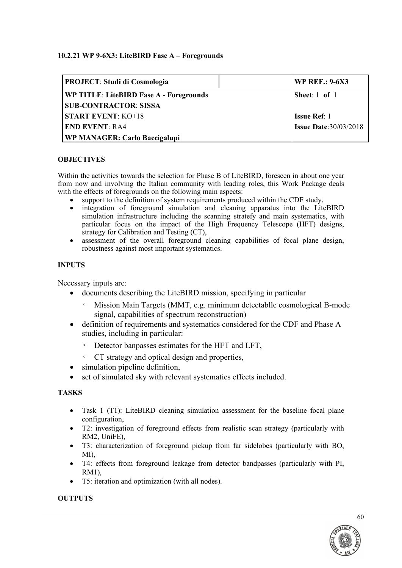# **10.2.21 WP 9-6X3: LiteBIRD Fase A – Foregrounds**

| <b>PROJECT: Studi di Cosmologia</b>     | <b>WP REF.: 9-6X3</b>        |  |
|-----------------------------------------|------------------------------|--|
| WP TITLE: LiteBIRD Fase A - Foregrounds | Sheet: 1 of 1                |  |
| <b>SUB-CONTRACTOR: SISSA</b>            |                              |  |
| <b>START EVENT: KO+18</b>               | <b>Issue Ref: 1</b>          |  |
| <b>END EVENT: RA4</b>                   | <b>Issue Date:30/03/2018</b> |  |
| WP MANAGER: Carlo Baccigalupi           |                              |  |

### **OBJECTIVES**

Within the activities towards the selection for Phase B of LiteBIRD, foreseen in about one year from now and involving the Italian community with leading roles, this Work Package deals with the effects of foregrounds on the following main aspects:

- support to the definition of system requirements produced within the CDF study,
- integration of foreground simulation and cleaning apparatus into the LiteBIRD simulation infrastructure including the scanning stratefy and main systematics, with particular focus on the impact of the High Frequency Telescope (HFT) designs, strategy for Calibration and Testing (CT),
- assessment of the overall foreground cleaning capabilities of focal plane design, robustness against most important systematics.

### **INPUTS**

Necessary inputs are:

- documents describing the LiteBIRD mission, specifying in particular
	- Mission Main Targets (MMT, e.g. minimum detectablle cosmological B-mode signal, capabilities of spectrum reconstruction)
- definition of requirements and systematics considered for the CDF and Phase A studies, including in particular:
	- Detector banpasses estimates for the HFT and LFT,
	- CT strategy and optical design and properties,
- simulation pipeline definition.
- set of simulated sky with relevant systematics effects included.

# **TASKS**

- Task 1 (T1): LiteBIRD cleaning simulation assessment for the baseline focal plane configuration,
- T2: investigation of foreground effects from realistic scan strategy (particularly with RM2, UniFE),
- T3: characterization of foreground pickup from far sidelobes (particularly with BO, MI),
- T4: effects from foreground leakage from detector bandpasses (particularly with PI, RM1),
- T5: iteration and optimization (with all nodes).

#### **OUTPUTS**